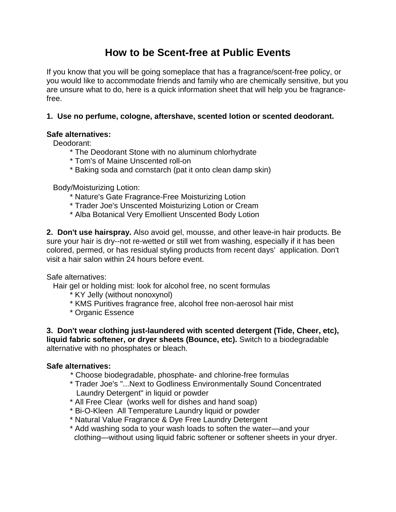## **How to be Scent-free at Public Events**

If you know that you will be going someplace that has a fragrance/scent-free policy, or you would like to accommodate friends and family who are chemically sensitive, but you are unsure what to do, here is a quick information sheet that will help you be fragrancefree.

## **1. Use no perfume, cologne, aftershave, scented lotion or scented deodorant.**

## **Safe alternatives:**

Deodorant:

- \* The Deodorant Stone with no aluminum chlorhydrate
- \* Tom's of Maine Unscented roll-on
- \* Baking soda and cornstarch (pat it onto clean damp skin)

Body/Moisturizing Lotion:

- \* Nature's Gate Fragrance-Free Moisturizing Lotion
- \* Trader Joe's Unscented Moisturizing Lotion or Cream
- \* Alba Botanical Very Emollient Unscented Body Lotion

**2. Don't use hairspray.** Also avoid gel, mousse, and other leave-in hair products. Be sure your hair is dry--not re-wetted or still wet from washing, especially if it has been colored, permed, or has residual styling products from recent days' application. Don't visit a hair salon within 24 hours before event.

Safe alternatives:

Hair gel or holding mist: look for alcohol free, no scent formulas

- \* KY Jelly (without nonoxynol)
- \* KMS Puritives fragrance free, alcohol free non-aerosol hair mist
- \* Organic Essence

**3. Don't wear clothing just-laundered with scented detergent (Tide, Cheer, etc), liquid fabric softener, or dryer sheets (Bounce, etc).** Switch to a biodegradable alternative with no phosphates or bleach.

## **Safe alternatives:**

- \* Choose biodegradable, phosphate- and chlorine-free formulas
- \* Trader Joe's "...Next to Godliness Environmentally Sound Concentrated Laundry Detergent" in liquid or powder
- \* All Free Clear (works well for dishes and hand soap)
- \* Bi-O-Kleen All Temperature Laundry liquid or powder
- \* Natural Value Fragrance & Dye Free Laundry Detergent
- \* Add washing soda to your wash loads to soften the water—and your clothing—without using liquid fabric softener or softener sheets in your dryer.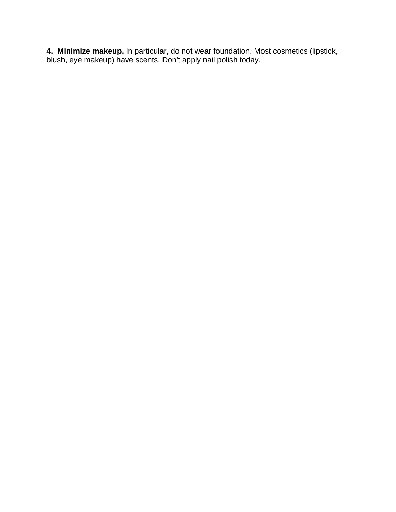**4. Minimize makeup.** In particular, do not wear foundation. Most cosmetics (lipstick, blush, eye makeup) have scents. Don't apply nail polish today.